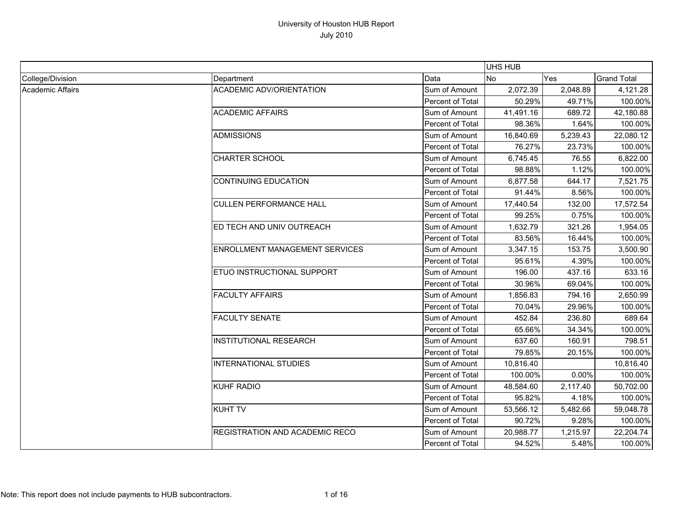|                         |                                       |                  | UHS HUB   |          |                    |
|-------------------------|---------------------------------------|------------------|-----------|----------|--------------------|
| College/Division        | Department                            | Data             | No        | Yes      | <b>Grand Total</b> |
| <b>Academic Affairs</b> | <b>ACADEMIC ADV/ORIENTATION</b>       | Sum of Amount    | 2,072.39  | 2,048.89 | 4,121.28           |
|                         |                                       | Percent of Total | 50.29%    | 49.71%   | 100.00%            |
|                         | <b>ACADEMIC AFFAIRS</b>               | Sum of Amount    | 41,491.16 | 689.72   | 42,180.88          |
|                         |                                       | Percent of Total | 98.36%    | 1.64%    | 100.00%            |
|                         | <b>ADMISSIONS</b>                     | Sum of Amount    | 16,840.69 | 5,239.43 | 22,080.12          |
|                         |                                       | Percent of Total | 76.27%    | 23.73%   | 100.00%            |
|                         | <b>CHARTER SCHOOL</b>                 | Sum of Amount    | 6,745.45  | 76.55    | 6,822.00           |
|                         |                                       | Percent of Total | 98.88%    | 1.12%    | 100.00%            |
|                         | <b>CONTINUING EDUCATION</b>           | Sum of Amount    | 6,877.58  | 644.17   | 7,521.75           |
|                         |                                       | Percent of Total | 91.44%    | 8.56%    | 100.00%            |
|                         | <b>CULLEN PERFORMANCE HALL</b>        | Sum of Amount    | 17,440.54 | 132.00   | 17,572.54          |
|                         |                                       | Percent of Total | 99.25%    | 0.75%    | 100.00%            |
|                         | ED TECH AND UNIV OUTREACH             | Sum of Amount    | 1,632.79  | 321.26   | 1,954.05           |
|                         |                                       | Percent of Total | 83.56%    | 16.44%   | 100.00%            |
|                         | <b>ENROLLMENT MANAGEMENT SERVICES</b> | Sum of Amount    | 3,347.15  | 153.75   | 3,500.90           |
|                         |                                       | Percent of Total | 95.61%    | 4.39%    | 100.00%            |
|                         | ETUO INSTRUCTIONAL SUPPORT            | Sum of Amount    | 196.00    | 437.16   | 633.16             |
|                         |                                       | Percent of Total | 30.96%    | 69.04%   | 100.00%            |
|                         | <b>FACULTY AFFAIRS</b>                | Sum of Amount    | 1,856.83  | 794.16   | 2,650.99           |
|                         |                                       | Percent of Total | 70.04%    | 29.96%   | 100.00%            |
|                         | <b>FACULTY SENATE</b>                 | Sum of Amount    | 452.84    | 236.80   | 689.64             |
|                         |                                       | Percent of Total | 65.66%    | 34.34%   | 100.00%            |
|                         | <b>INSTITUTIONAL RESEARCH</b>         | Sum of Amount    | 637.60    | 160.91   | 798.51             |
|                         |                                       | Percent of Total | 79.85%    | 20.15%   | 100.00%            |
|                         | <b>INTERNATIONAL STUDIES</b>          | Sum of Amount    | 10,816.40 |          | 10,816.40          |
|                         |                                       | Percent of Total | 100.00%   | 0.00%    | 100.00%            |
|                         | <b>KUHF RADIO</b>                     | Sum of Amount    | 48,584.60 | 2,117.40 | 50,702.00          |
|                         |                                       | Percent of Total | 95.82%    | 4.18%    | 100.00%            |
|                         | <b>KUHT TV</b>                        | Sum of Amount    | 53,566.12 | 5,482.66 | 59,048.78          |
|                         |                                       | Percent of Total | 90.72%    | 9.28%    | 100.00%            |
|                         | REGISTRATION AND ACADEMIC RECO        | Sum of Amount    | 20,988.77 | 1,215.97 | 22,204.74          |
|                         |                                       | Percent of Total | 94.52%    | 5.48%    | 100.00%            |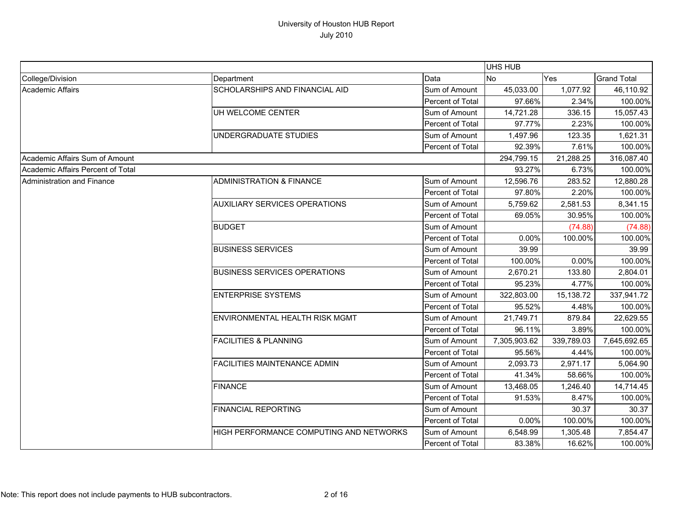|                                   |                                         |                  | <b>UHS HUB</b> |            |                    |
|-----------------------------------|-----------------------------------------|------------------|----------------|------------|--------------------|
| College/Division                  | Department                              | Data             | <b>No</b>      | Yes        | <b>Grand Total</b> |
| Academic Affairs                  | SCHOLARSHIPS AND FINANCIAL AID          | Sum of Amount    | 45,033.00      | 1,077.92   | 46,110.92          |
|                                   |                                         | Percent of Total | 97.66%         | 2.34%      | 100.00%            |
|                                   | UH WELCOME CENTER                       | Sum of Amount    | 14,721.28      | 336.15     | 15,057.43          |
|                                   |                                         | Percent of Total | 97.77%         | 2.23%      | 100.00%            |
|                                   | UNDERGRADUATE STUDIES                   | Sum of Amount    | 1,497.96       | 123.35     | 1,621.31           |
|                                   |                                         | Percent of Total | 92.39%         | 7.61%      | 100.00%            |
| Academic Affairs Sum of Amount    |                                         |                  | 294,799.15     | 21,288.25  | 316,087.40         |
| Academic Affairs Percent of Total |                                         |                  | 93.27%         | 6.73%      | 100.00%            |
| <b>Administration and Finance</b> | <b>ADMINISTRATION &amp; FINANCE</b>     | Sum of Amount    | 12,596.76      | 283.52     | 12,880.28          |
|                                   |                                         | Percent of Total | 97.80%         | 2.20%      | 100.00%            |
|                                   | <b>AUXILIARY SERVICES OPERATIONS</b>    | Sum of Amount    | 5,759.62       | 2,581.53   | 8,341.15           |
|                                   |                                         | Percent of Total | 69.05%         | 30.95%     | 100.00%            |
|                                   | <b>BUDGET</b>                           | Sum of Amount    |                | (74.88)    | (74.88)            |
|                                   |                                         | Percent of Total | 0.00%          | 100.00%    | 100.00%            |
|                                   | <b>BUSINESS SERVICES</b>                | Sum of Amount    | 39.99          |            | 39.99              |
|                                   |                                         | Percent of Total | 100.00%        | 0.00%      | 100.00%            |
|                                   | <b>BUSINESS SERVICES OPERATIONS</b>     | Sum of Amount    | 2,670.21       | 133.80     | 2,804.01           |
|                                   |                                         | Percent of Total | 95.23%         | 4.77%      | 100.00%            |
|                                   | <b>ENTERPRISE SYSTEMS</b>               | Sum of Amount    | 322,803.00     | 15,138.72  | 337,941.72         |
|                                   |                                         | Percent of Total | 95.52%         | 4.48%      | 100.00%            |
|                                   | <b>ENVIRONMENTAL HEALTH RISK MGMT</b>   | Sum of Amount    | 21,749.71      | 879.84     | 22,629.55          |
|                                   |                                         | Percent of Total | 96.11%         | 3.89%      | 100.00%            |
|                                   | <b>FACILITIES &amp; PLANNING</b>        | Sum of Amount    | 7,305,903.62   | 339,789.03 | 7,645,692.65       |
|                                   |                                         | Percent of Total | 95.56%         | 4.44%      | 100.00%            |
|                                   | <b>FACILITIES MAINTENANCE ADMIN</b>     | Sum of Amount    | 2,093.73       | 2,971.17   | 5,064.90           |
|                                   |                                         | Percent of Total | 41.34%         | 58.66%     | 100.00%            |
|                                   | <b>FINANCE</b>                          | Sum of Amount    | 13,468.05      | 1,246.40   | 14,714.45          |
|                                   |                                         | Percent of Total | 91.53%         | 8.47%      | 100.00%            |
|                                   | <b>FINANCIAL REPORTING</b>              | Sum of Amount    |                | 30.37      | 30.37              |
|                                   |                                         | Percent of Total | 0.00%          | 100.00%    | 100.00%            |
|                                   | HIGH PERFORMANCE COMPUTING AND NETWORKS | Sum of Amount    | 6,548.99       | 1,305.48   | 7,854.47           |
|                                   |                                         | Percent of Total | 83.38%         | 16.62%     | 100.00%            |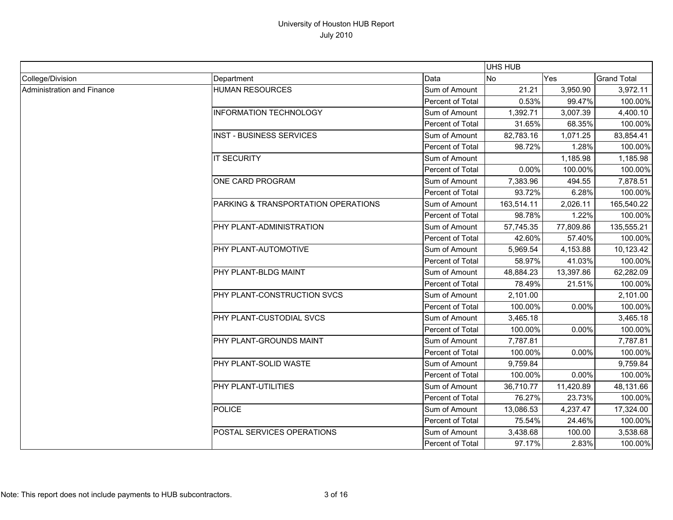|                            |                                     |                  | <b>UHS HUB</b> |           |                    |
|----------------------------|-------------------------------------|------------------|----------------|-----------|--------------------|
| College/Division           | Department                          | Data             | No             | Yes       | <b>Grand Total</b> |
| Administration and Finance | <b>HUMAN RESOURCES</b>              | Sum of Amount    | 21.21          | 3,950.90  | 3,972.11           |
|                            |                                     | Percent of Total | 0.53%          | 99.47%    | 100.00%            |
|                            | <b>INFORMATION TECHNOLOGY</b>       | Sum of Amount    | 1,392.71       | 3,007.39  | 4,400.10           |
|                            |                                     | Percent of Total | 31.65%         | 68.35%    | 100.00%            |
|                            | <b>INST - BUSINESS SERVICES</b>     | Sum of Amount    | 82,783.16      | 1,071.25  | 83,854.41          |
|                            |                                     | Percent of Total | 98.72%         | 1.28%     | 100.00%            |
|                            | <b>IT SECURITY</b>                  | Sum of Amount    |                | 1,185.98  | 1,185.98           |
|                            |                                     | Percent of Total | 0.00%          | 100.00%   | 100.00%            |
|                            | <b>ONE CARD PROGRAM</b>             | Sum of Amount    | 7,383.96       | 494.55    | 7,878.51           |
|                            |                                     | Percent of Total | 93.72%         | 6.28%     | 100.00%            |
|                            | PARKING & TRANSPORTATION OPERATIONS | Sum of Amount    | 163,514.11     | 2,026.11  | 165,540.22         |
|                            |                                     | Percent of Total | 98.78%         | 1.22%     | 100.00%            |
|                            | PHY PLANT-ADMINISTRATION            | Sum of Amount    | 57,745.35      | 77,809.86 | 135,555.21         |
|                            |                                     | Percent of Total | 42.60%         | 57.40%    | 100.00%            |
|                            | PHY PLANT-AUTOMOTIVE                | Sum of Amount    | 5,969.54       | 4,153.88  | 10,123.42          |
|                            |                                     | Percent of Total | 58.97%         | 41.03%    | 100.00%            |
|                            | PHY PLANT-BLDG MAINT                | Sum of Amount    | 48,884.23      | 13,397.86 | 62,282.09          |
|                            |                                     | Percent of Total | 78.49%         | 21.51%    | 100.00%            |
|                            | PHY PLANT-CONSTRUCTION SVCS         | Sum of Amount    | 2,101.00       |           | 2,101.00           |
|                            |                                     | Percent of Total | 100.00%        | 0.00%     | 100.00%            |
|                            | PHY PLANT-CUSTODIAL SVCS            | Sum of Amount    | 3,465.18       |           | 3,465.18           |
|                            |                                     | Percent of Total | 100.00%        | 0.00%     | 100.00%            |
|                            | PHY PLANT-GROUNDS MAINT             | Sum of Amount    | 7,787.81       |           | 7,787.81           |
|                            |                                     | Percent of Total | 100.00%        | 0.00%     | 100.00%            |
|                            | PHY PLANT-SOLID WASTE               | Sum of Amount    | 9,759.84       |           | 9,759.84           |
|                            |                                     | Percent of Total | 100.00%        | 0.00%     | 100.00%            |
|                            | PHY PLANT-UTILITIES                 | Sum of Amount    | 36,710.77      | 11,420.89 | 48,131.66          |
|                            |                                     | Percent of Total | 76.27%         | 23.73%    | 100.00%            |
|                            | <b>POLICE</b>                       | Sum of Amount    | 13,086.53      | 4,237.47  | 17,324.00          |
|                            |                                     | Percent of Total | 75.54%         | 24.46%    | 100.00%            |
|                            | POSTAL SERVICES OPERATIONS          | Sum of Amount    | 3,438.68       | 100.00    | 3,538.68           |
|                            |                                     | Percent of Total | 97.17%         | 2.83%     | 100.00%            |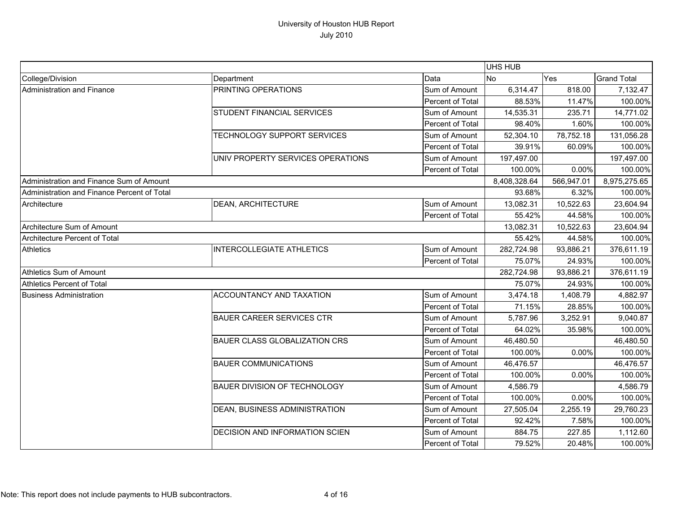|                                             |                                      |                  | UHS HUB      |            |                    |
|---------------------------------------------|--------------------------------------|------------------|--------------|------------|--------------------|
| College/Division                            | Department                           | Data             | No           | Yes        | <b>Grand Total</b> |
| Administration and Finance                  | PRINTING OPERATIONS                  | Sum of Amount    | 6,314.47     | 818.00     | 7,132.47           |
|                                             |                                      | Percent of Total | 88.53%       | 11.47%     | 100.00%            |
|                                             | STUDENT FINANCIAL SERVICES           | Sum of Amount    | 14,535.31    | 235.71     | 14,771.02          |
|                                             |                                      | Percent of Total | 98.40%       | 1.60%      | 100.00%            |
|                                             | TECHNOLOGY SUPPORT SERVICES          | Sum of Amount    | 52,304.10    | 78,752.18  | 131,056.28         |
|                                             |                                      | Percent of Total | 39.91%       | 60.09%     | 100.00%            |
|                                             | UNIV PROPERTY SERVICES OPERATIONS    | Sum of Amount    | 197,497.00   |            | 197,497.00         |
|                                             |                                      | Percent of Total | 100.00%      | 0.00%      | 100.00%            |
| Administration and Finance Sum of Amount    |                                      |                  | 8,408,328.64 | 566,947.01 | 8,975,275.65       |
| Administration and Finance Percent of Total |                                      |                  | 93.68%       | 6.32%      | 100.00%            |
| Architecture                                | <b>DEAN, ARCHITECTURE</b>            | Sum of Amount    | 13,082.31    | 10,522.63  | 23,604.94          |
|                                             |                                      | Percent of Total | 55.42%       | 44.58%     | 100.00%            |
| Architecture Sum of Amount                  |                                      |                  | 13,082.31    | 10,522.63  | 23,604.94          |
| Architecture Percent of Total               |                                      |                  | 55.42%       | 44.58%     | 100.00%            |
| <b>Athletics</b>                            | <b>INTERCOLLEGIATE ATHLETICS</b>     | Sum of Amount    | 282,724.98   | 93,886.21  | 376,611.19         |
|                                             |                                      | Percent of Total | 75.07%       | 24.93%     | 100.00%            |
| Athletics Sum of Amount                     |                                      |                  | 282,724.98   | 93,886.21  | 376,611.19         |
| Athletics Percent of Total                  |                                      |                  | 75.07%       | 24.93%     | 100.00%            |
| <b>Business Administration</b>              | ACCOUNTANCY AND TAXATION             | Sum of Amount    | 3,474.18     | 1,408.79   | 4,882.97           |
|                                             |                                      | Percent of Total | 71.15%       | 28.85%     | 100.00%            |
|                                             | <b>BAUER CAREER SERVICES CTR</b>     | Sum of Amount    | 5,787.96     | 3,252.91   | 9,040.87           |
|                                             |                                      | Percent of Total | 64.02%       | 35.98%     | 100.00%            |
|                                             | <b>BAUER CLASS GLOBALIZATION CRS</b> | Sum of Amount    | 46,480.50    |            | 46,480.50          |
|                                             |                                      | Percent of Total | 100.00%      | 0.00%      | 100.00%            |
|                                             | <b>BAUER COMMUNICATIONS</b>          | Sum of Amount    | 46,476.57    |            | 46,476.57          |
|                                             |                                      | Percent of Total | 100.00%      | 0.00%      | 100.00%            |
|                                             | <b>BAUER DIVISION OF TECHNOLOGY</b>  | Sum of Amount    | 4,586.79     |            | 4,586.79           |
|                                             |                                      | Percent of Total | 100.00%      | 0.00%      | 100.00%            |
|                                             | DEAN, BUSINESS ADMINISTRATION        | Sum of Amount    | 27,505.04    | 2,255.19   | 29,760.23          |
|                                             |                                      | Percent of Total | 92.42%       | 7.58%      | 100.00%            |
|                                             | DECISION AND INFORMATION SCIEN       | Sum of Amount    | 884.75       | 227.85     | 1,112.60           |
|                                             |                                      | Percent of Total | 79.52%       | 20.48%     | 100.00%            |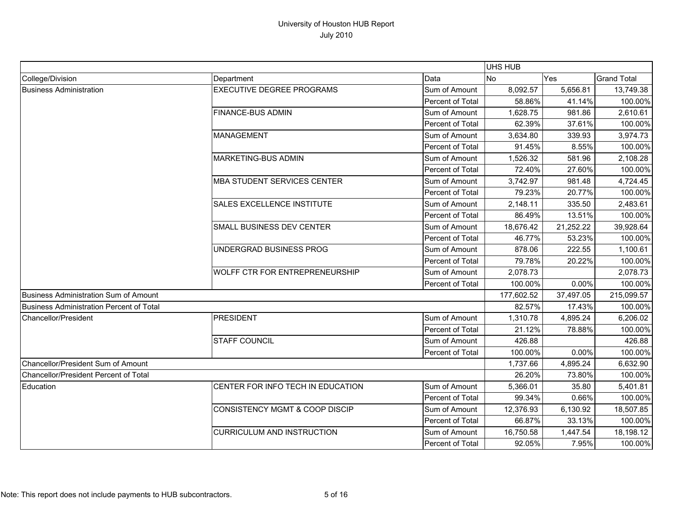|                                                 |                                           |                  | <b>UHS HUB</b> |           |                    |
|-------------------------------------------------|-------------------------------------------|------------------|----------------|-----------|--------------------|
| College/Division                                | Department                                | Data             | <b>No</b>      | Yes       | <b>Grand Total</b> |
| <b>Business Administration</b>                  | <b>EXECUTIVE DEGREE PROGRAMS</b>          | Sum of Amount    | 8,092.57       | 5,656.81  | 13,749.38          |
|                                                 |                                           | Percent of Total | 58.86%         | 41.14%    | 100.00%            |
|                                                 | <b>FINANCE-BUS ADMIN</b>                  | Sum of Amount    | 1,628.75       | 981.86    | 2,610.61           |
|                                                 |                                           | Percent of Total | 62.39%         | 37.61%    | 100.00%            |
|                                                 | <b>MANAGEMENT</b>                         | Sum of Amount    | 3,634.80       | 339.93    | 3,974.73           |
|                                                 |                                           | Percent of Total | 91.45%         | 8.55%     | 100.00%            |
|                                                 | <b>MARKETING-BUS ADMIN</b>                | Sum of Amount    | 1,526.32       | 581.96    | 2,108.28           |
|                                                 |                                           | Percent of Total | 72.40%         | 27.60%    | 100.00%            |
|                                                 | <b>MBA STUDENT SERVICES CENTER</b>        | Sum of Amount    | 3,742.97       | 981.48    | 4,724.45           |
|                                                 |                                           | Percent of Total | 79.23%         | 20.77%    | 100.00%            |
|                                                 | SALES EXCELLENCE INSTITUTE                | Sum of Amount    | 2,148.11       | 335.50    | 2,483.61           |
|                                                 |                                           | Percent of Total | 86.49%         | 13.51%    | 100.00%            |
|                                                 | SMALL BUSINESS DEV CENTER                 | Sum of Amount    | 18,676.42      | 21,252.22 | 39,928.64          |
|                                                 |                                           | Percent of Total | 46.77%         | 53.23%    | 100.00%            |
|                                                 | UNDERGRAD BUSINESS PROG                   | Sum of Amount    | 878.06         | 222.55    | 1,100.61           |
|                                                 |                                           | Percent of Total | 79.78%         | 20.22%    | 100.00%            |
|                                                 | <b>WOLFF CTR FOR ENTREPRENEURSHIP</b>     | Sum of Amount    | 2,078.73       |           | 2,078.73           |
|                                                 |                                           | Percent of Total | 100.00%        | 0.00%     | 100.00%            |
| Business Administration Sum of Amount           |                                           |                  | 177,602.52     | 37,497.05 | 215,099.57         |
| <b>Business Administration Percent of Total</b> |                                           |                  | 82.57%         | 17.43%    | 100.00%            |
| <b>Chancellor/President</b>                     | <b>PRESIDENT</b>                          | Sum of Amount    | 1,310.78       | 4,895.24  | 6,206.02           |
|                                                 |                                           | Percent of Total | 21.12%         | 78.88%    | 100.00%            |
|                                                 | <b>STAFF COUNCIL</b>                      | Sum of Amount    | 426.88         |           | 426.88             |
|                                                 |                                           | Percent of Total | 100.00%        | 0.00%     | 100.00%            |
| Chancellor/President Sum of Amount              |                                           |                  | 1,737.66       | 4,895.24  | 6,632.90           |
| Chancellor/President Percent of Total           |                                           |                  | 26.20%         | 73.80%    | 100.00%            |
| Education                                       | CENTER FOR INFO TECH IN EDUCATION         | Sum of Amount    | 5,366.01       | 35.80     | 5,401.81           |
|                                                 |                                           | Percent of Total | 99.34%         | 0.66%     | 100.00%            |
|                                                 | <b>CONSISTENCY MGMT &amp; COOP DISCIP</b> | Sum of Amount    | 12,376.93      | 6,130.92  | 18,507.85          |
|                                                 |                                           | Percent of Total | 66.87%         | 33.13%    | 100.00%            |
|                                                 | <b>CURRICULUM AND INSTRUCTION</b>         | Sum of Amount    | 16,750.58      | 1,447.54  | 18,198.12          |
|                                                 |                                           | Percent of Total | 92.05%         | 7.95%     | 100.00%            |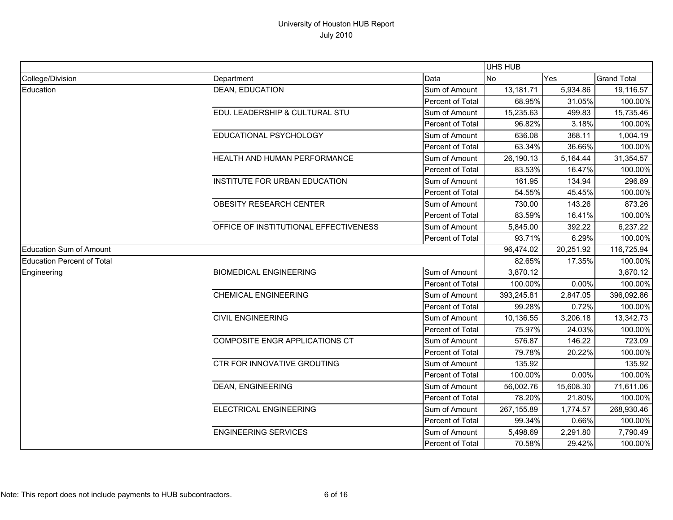|                                   |                                       |                  | UHS HUB    |           |                    |
|-----------------------------------|---------------------------------------|------------------|------------|-----------|--------------------|
| College/Division                  | Department                            | Data             | <b>No</b>  | Yes       | <b>Grand Total</b> |
| Education                         | <b>DEAN, EDUCATION</b>                | Sum of Amount    | 13,181.71  | 5,934.86  | 19,116.57          |
|                                   |                                       | Percent of Total | 68.95%     | 31.05%    | 100.00%            |
|                                   | EDU. LEADERSHIP & CULTURAL STU        | Sum of Amount    | 15,235.63  | 499.83    | 15,735.46          |
|                                   |                                       | Percent of Total | 96.82%     | 3.18%     | 100.00%            |
|                                   | EDUCATIONAL PSYCHOLOGY                | Sum of Amount    | 636.08     | 368.11    | 1,004.19           |
|                                   |                                       | Percent of Total | 63.34%     | 36.66%    | 100.00%            |
|                                   | HEALTH AND HUMAN PERFORMANCE          | Sum of Amount    | 26,190.13  | 5,164.44  | 31,354.57          |
|                                   |                                       | Percent of Total | 83.53%     | 16.47%    | 100.00%            |
|                                   | INSTITUTE FOR URBAN EDUCATION         | Sum of Amount    | 161.95     | 134.94    | 296.89             |
|                                   |                                       | Percent of Total | 54.55%     | 45.45%    | 100.00%            |
|                                   | <b>OBESITY RESEARCH CENTER</b>        | Sum of Amount    | 730.00     | 143.26    | 873.26             |
|                                   |                                       | Percent of Total | 83.59%     | 16.41%    | 100.00%            |
|                                   | OFFICE OF INSTITUTIONAL EFFECTIVENESS | Sum of Amount    | 5,845.00   | 392.22    | 6,237.22           |
|                                   |                                       | Percent of Total | 93.71%     | 6.29%     | 100.00%            |
| <b>Education Sum of Amount</b>    |                                       |                  | 96,474.02  | 20,251.92 | 116,725.94         |
| <b>Education Percent of Total</b> |                                       |                  | 82.65%     | 17.35%    | 100.00%            |
| Engineering                       | <b>BIOMEDICAL ENGINEERING</b>         | Sum of Amount    | 3,870.12   |           | 3,870.12           |
|                                   |                                       | Percent of Total | 100.00%    | 0.00%     | 100.00%            |
|                                   | <b>CHEMICAL ENGINEERING</b>           | Sum of Amount    | 393,245.81 | 2,847.05  | 396,092.86         |
|                                   |                                       | Percent of Total | 99.28%     | 0.72%     | 100.00%            |
|                                   | <b>CIVIL ENGINEERING</b>              | Sum of Amount    | 10,136.55  | 3,206.18  | 13,342.73          |
|                                   |                                       | Percent of Total | 75.97%     | 24.03%    | 100.00%            |
|                                   | <b>COMPOSITE ENGR APPLICATIONS CT</b> | Sum of Amount    | 576.87     | 146.22    | 723.09             |
|                                   |                                       | Percent of Total | 79.78%     | 20.22%    | 100.00%            |
|                                   | CTR FOR INNOVATIVE GROUTING           | Sum of Amount    | 135.92     |           | 135.92             |
|                                   |                                       | Percent of Total | 100.00%    | 0.00%     | 100.00%            |
|                                   | <b>DEAN, ENGINEERING</b>              | Sum of Amount    | 56,002.76  | 15,608.30 | 71,611.06          |
|                                   |                                       | Percent of Total | 78.20%     | 21.80%    | 100.00%            |
|                                   | <b>ELECTRICAL ENGINEERING</b>         | Sum of Amount    | 267,155.89 | 1,774.57  | 268,930.46         |
|                                   |                                       | Percent of Total | 99.34%     | 0.66%     | 100.00%            |
|                                   | <b>ENGINEERING SERVICES</b>           | Sum of Amount    | 5,498.69   | 2,291.80  | 7,790.49           |
|                                   |                                       | Percent of Total | 70.58%     | 29.42%    | 100.00%            |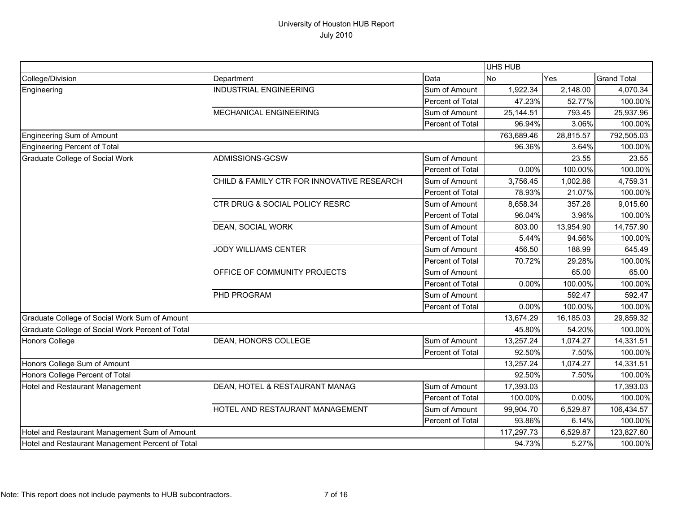|                                                  |                                            |                  | <b>UHS HUB</b> |           |                    |
|--------------------------------------------------|--------------------------------------------|------------------|----------------|-----------|--------------------|
| College/Division                                 | Department                                 | Data             | No             | Yes       | <b>Grand Total</b> |
| Engineering                                      | <b>INDUSTRIAL ENGINEERING</b>              | Sum of Amount    | 1,922.34       | 2,148.00  | 4,070.34           |
|                                                  |                                            | Percent of Total | 47.23%         | 52.77%    | 100.00%            |
|                                                  | MECHANICAL ENGINEERING                     | Sum of Amount    | 25,144.51      | 793.45    | 25,937.96          |
|                                                  |                                            | Percent of Total | 96.94%         | 3.06%     | 100.00%            |
| <b>Engineering Sum of Amount</b>                 |                                            |                  | 763,689.46     | 28,815.57 | 792,505.03         |
| Engineering Percent of Total                     |                                            |                  | 96.36%         | 3.64%     | 100.00%            |
| Graduate College of Social Work                  | ADMISSIONS-GCSW                            | Sum of Amount    |                | 23.55     | 23.55              |
|                                                  |                                            | Percent of Total | 0.00%          | 100.00%   | 100.00%            |
|                                                  | CHILD & FAMILY CTR FOR INNOVATIVE RESEARCH | Sum of Amount    | 3,756.45       | 1,002.86  | 4,759.31           |
|                                                  |                                            | Percent of Total | 78.93%         | 21.07%    | 100.00%            |
|                                                  | CTR DRUG & SOCIAL POLICY RESRC             | Sum of Amount    | 8,658.34       | 357.26    | 9,015.60           |
|                                                  |                                            | Percent of Total | 96.04%         | 3.96%     | 100.00%            |
|                                                  | DEAN, SOCIAL WORK                          | Sum of Amount    | 803.00         | 13,954.90 | 14,757.90          |
|                                                  |                                            | Percent of Total | 5.44%          | 94.56%    | 100.00%            |
|                                                  | <b>JODY WILLIAMS CENTER</b>                | Sum of Amount    | 456.50         | 188.99    | 645.49             |
|                                                  |                                            | Percent of Total | 70.72%         | 29.28%    | 100.00%            |
|                                                  | OFFICE OF COMMUNITY PROJECTS               | Sum of Amount    |                | 65.00     | 65.00              |
|                                                  |                                            | Percent of Total | 0.00%          | 100.00%   | 100.00%            |
|                                                  | <b>PHD PROGRAM</b>                         | Sum of Amount    |                | 592.47    | 592.47             |
|                                                  |                                            | Percent of Total | 0.00%          | 100.00%   | 100.00%            |
| Graduate College of Social Work Sum of Amount    |                                            |                  | 13,674.29      | 16,185.03 | 29,859.32          |
| Graduate College of Social Work Percent of Total |                                            |                  | 45.80%         | 54.20%    | 100.00%            |
| Honors College                                   | <b>DEAN, HONORS COLLEGE</b>                | Sum of Amount    | 13,257.24      | 1,074.27  | 14,331.51          |
|                                                  |                                            | Percent of Total | 92.50%         | 7.50%     | 100.00%            |
| Honors College Sum of Amount                     |                                            |                  | 13,257.24      | 1,074.27  | 14,331.51          |
| Honors College Percent of Total                  |                                            |                  | 92.50%         | 7.50%     | 100.00%            |
| Hotel and Restaurant Management                  | DEAN, HOTEL & RESTAURANT MANAG             | Sum of Amount    | 17,393.03      |           | 17,393.03          |
|                                                  |                                            | Percent of Total | 100.00%        | 0.00%     | 100.00%            |
|                                                  | HOTEL AND RESTAURANT MANAGEMENT            | Sum of Amount    | 99,904.70      | 6,529.87  | 106,434.57         |
|                                                  |                                            | Percent of Total | 93.86%         | 6.14%     | 100.00%            |
| Hotel and Restaurant Management Sum of Amount    |                                            |                  | 117,297.73     | 6,529.87  | 123,827.60         |
| Hotel and Restaurant Management Percent of Total |                                            | 94.73%           | 5.27%          | 100.00%   |                    |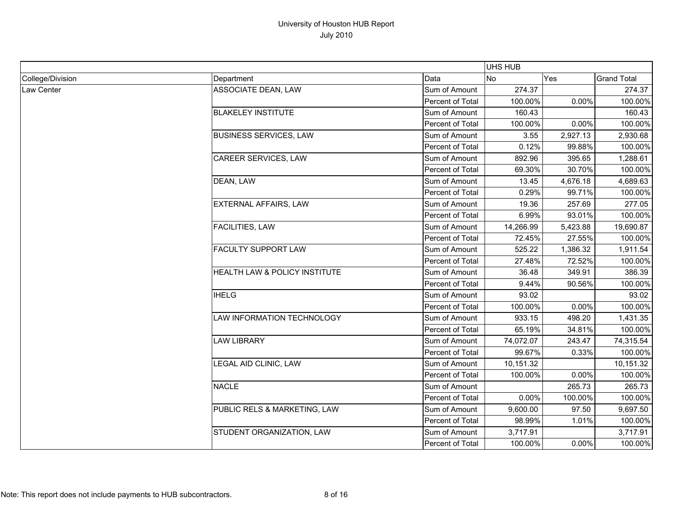|                  |                               |                  | <b>UHS HUB</b> |          |                    |
|------------------|-------------------------------|------------------|----------------|----------|--------------------|
| College/Division | Department                    | Data             | No             | Yes      | <b>Grand Total</b> |
| Law Center       | ASSOCIATE DEAN, LAW           | Sum of Amount    | 274.37         |          | 274.37             |
|                  |                               | Percent of Total | 100.00%        | 0.00%    | 100.00%            |
|                  | <b>BLAKELEY INSTITUTE</b>     | Sum of Amount    | 160.43         |          | 160.43             |
|                  |                               | Percent of Total | 100.00%        | 0.00%    | 100.00%            |
|                  | <b>BUSINESS SERVICES, LAW</b> | Sum of Amount    | 3.55           | 2,927.13 | 2,930.68           |
|                  |                               | Percent of Total | 0.12%          | 99.88%   | 100.00%            |
|                  | CAREER SERVICES, LAW          | Sum of Amount    | 892.96         | 395.65   | 1,288.61           |
|                  |                               | Percent of Total | 69.30%         | 30.70%   | 100.00%            |
|                  | DEAN, LAW                     | Sum of Amount    | 13.45          | 4,676.18 | 4,689.63           |
|                  |                               | Percent of Total | 0.29%          | 99.71%   | 100.00%            |
|                  | EXTERNAL AFFAIRS, LAW         | Sum of Amount    | 19.36          | 257.69   | 277.05             |
|                  |                               | Percent of Total | 6.99%          | 93.01%   | 100.00%            |
|                  | <b>FACILITIES, LAW</b>        | Sum of Amount    | 14,266.99      | 5,423.88 | 19,690.87          |
|                  |                               | Percent of Total | 72.45%         | 27.55%   | 100.00%            |
|                  | <b>FACULTY SUPPORT LAW</b>    | Sum of Amount    | 525.22         | 1,386.32 | 1,911.54           |
|                  |                               | Percent of Total | 27.48%         | 72.52%   | 100.00%            |
|                  | HEALTH LAW & POLICY INSTITUTE | Sum of Amount    | 36.48          | 349.91   | 386.39             |
|                  |                               | Percent of Total | 9.44%          | 90.56%   | 100.00%            |
|                  | <b>IHELG</b>                  | Sum of Amount    | 93.02          |          | 93.02              |
|                  |                               | Percent of Total | 100.00%        | 0.00%    | 100.00%            |
|                  | LAW INFORMATION TECHNOLOGY    | Sum of Amount    | 933.15         | 498.20   | 1,431.35           |
|                  |                               | Percent of Total | 65.19%         | 34.81%   | 100.00%            |
|                  | <b>LAW LIBRARY</b>            | Sum of Amount    | 74,072.07      | 243.47   | 74,315.54          |
|                  |                               | Percent of Total | 99.67%         | 0.33%    | 100.00%            |
|                  | LEGAL AID CLINIC, LAW         | Sum of Amount    | 10,151.32      |          | 10,151.32          |
|                  |                               | Percent of Total | 100.00%        | 0.00%    | 100.00%            |
|                  | <b>NACLE</b>                  | Sum of Amount    |                | 265.73   | 265.73             |
|                  |                               | Percent of Total | 0.00%          | 100.00%  | 100.00%            |
|                  | PUBLIC RELS & MARKETING, LAW  | Sum of Amount    | 9,600.00       | 97.50    | 9,697.50           |
|                  |                               | Percent of Total | 98.99%         | 1.01%    | 100.00%            |
|                  | STUDENT ORGANIZATION, LAW     | Sum of Amount    | 3,717.91       |          | 3,717.91           |
|                  |                               | Percent of Total | 100.00%        | 0.00%    | 100.00%            |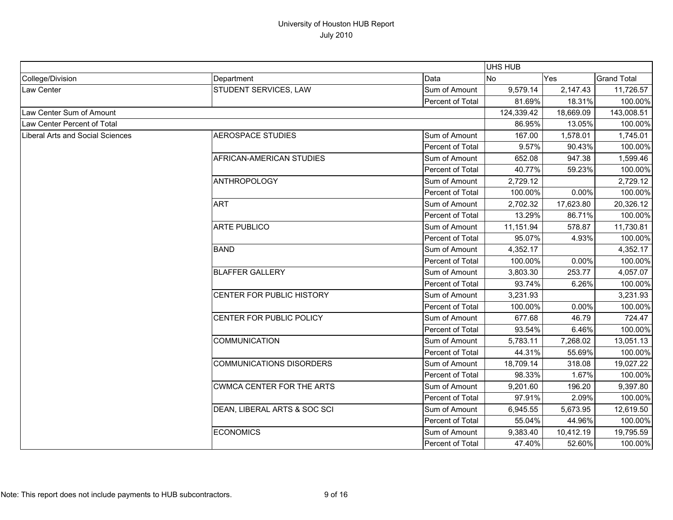|                                  |                                  |                  | UHS HUB    |           |                    |
|----------------------------------|----------------------------------|------------------|------------|-----------|--------------------|
| College/Division                 | Department                       | Data             | <b>No</b>  | Yes       | <b>Grand Total</b> |
| Law Center                       | STUDENT SERVICES, LAW            | Sum of Amount    | 9,579.14   | 2,147.43  | 11,726.57          |
|                                  |                                  | Percent of Total | 81.69%     | 18.31%    | 100.00%            |
| Law Center Sum of Amount         |                                  |                  | 124,339.42 | 18,669.09 | 143,008.51         |
| Law Center Percent of Total      |                                  |                  | 86.95%     | 13.05%    | 100.00%            |
| Liberal Arts and Social Sciences | <b>AEROSPACE STUDIES</b>         | Sum of Amount    | 167.00     | 1,578.01  | 1,745.01           |
|                                  |                                  | Percent of Total | 9.57%      | 90.43%    | 100.00%            |
|                                  | AFRICAN-AMERICAN STUDIES         | Sum of Amount    | 652.08     | 947.38    | 1,599.46           |
|                                  |                                  | Percent of Total | 40.77%     | 59.23%    | 100.00%            |
|                                  | <b>ANTHROPOLOGY</b>              | Sum of Amount    | 2,729.12   |           | 2,729.12           |
|                                  |                                  | Percent of Total | 100.00%    | 0.00%     | 100.00%            |
|                                  | <b>ART</b>                       | Sum of Amount    | 2,702.32   | 17,623.80 | 20,326.12          |
|                                  |                                  | Percent of Total | 13.29%     | 86.71%    | 100.00%            |
|                                  | <b>ARTE PUBLICO</b>              | Sum of Amount    | 11,151.94  | 578.87    | 11,730.81          |
|                                  |                                  | Percent of Total | 95.07%     | 4.93%     | 100.00%            |
|                                  | <b>BAND</b>                      | Sum of Amount    | 4,352.17   |           | 4,352.17           |
|                                  |                                  | Percent of Total | 100.00%    | 0.00%     | 100.00%            |
|                                  | <b>BLAFFER GALLERY</b>           | Sum of Amount    | 3,803.30   | 253.77    | 4,057.07           |
|                                  |                                  | Percent of Total | 93.74%     | 6.26%     | 100.00%            |
|                                  | CENTER FOR PUBLIC HISTORY        | Sum of Amount    | 3,231.93   |           | 3,231.93           |
|                                  |                                  | Percent of Total | 100.00%    | 0.00%     | 100.00%            |
|                                  | CENTER FOR PUBLIC POLICY         | Sum of Amount    | 677.68     | 46.79     | 724.47             |
|                                  |                                  | Percent of Total | 93.54%     | 6.46%     | 100.00%            |
|                                  | <b>COMMUNICATION</b>             | Sum of Amount    | 5,783.11   | 7,268.02  | 13,051.13          |
|                                  |                                  | Percent of Total | 44.31%     | 55.69%    | 100.00%            |
|                                  | <b>COMMUNICATIONS DISORDERS</b>  | Sum of Amount    | 18,709.14  | 318.08    | 19,027.22          |
|                                  |                                  | Percent of Total | 98.33%     | 1.67%     | 100.00%            |
|                                  | <b>CWMCA CENTER FOR THE ARTS</b> | Sum of Amount    | 9,201.60   | 196.20    | 9,397.80           |
|                                  |                                  | Percent of Total | 97.91%     | 2.09%     | 100.00%            |
|                                  | DEAN, LIBERAL ARTS & SOC SCI     | Sum of Amount    | 6,945.55   | 5,673.95  | 12,619.50          |
|                                  |                                  | Percent of Total | 55.04%     | 44.96%    | 100.00%            |
|                                  | <b>ECONOMICS</b>                 | Sum of Amount    | 9,383.40   | 10,412.19 | 19,795.59          |
|                                  |                                  | Percent of Total | 47.40%     | 52.60%    | 100.00%            |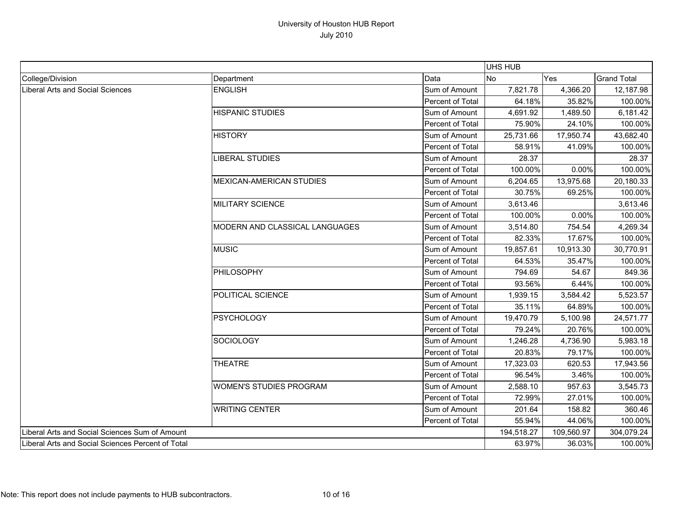|                                                   |                                 |                  | UHS HUB    |            |                    |
|---------------------------------------------------|---------------------------------|------------------|------------|------------|--------------------|
| College/Division                                  | Department                      | Data             | No         | Yes        | <b>Grand Total</b> |
| Liberal Arts and Social Sciences                  | <b>ENGLISH</b>                  | Sum of Amount    | 7,821.78   | 4,366.20   | 12,187.98          |
|                                                   |                                 | Percent of Total | 64.18%     | 35.82%     | 100.00%            |
|                                                   | <b>HISPANIC STUDIES</b>         | Sum of Amount    | 4,691.92   | 1,489.50   | 6,181.42           |
|                                                   |                                 | Percent of Total | 75.90%     | 24.10%     | 100.00%            |
|                                                   | <b>HISTORY</b>                  | Sum of Amount    | 25,731.66  | 17,950.74  | 43,682.40          |
|                                                   |                                 | Percent of Total | 58.91%     | 41.09%     | 100.00%            |
|                                                   | LIBERAL STUDIES                 | Sum of Amount    | 28.37      |            | 28.37              |
|                                                   |                                 | Percent of Total | 100.00%    | 0.00%      | 100.00%            |
|                                                   | <b>MEXICAN-AMERICAN STUDIES</b> | Sum of Amount    | 6,204.65   | 13,975.68  | 20,180.33          |
|                                                   |                                 | Percent of Total | 30.75%     | 69.25%     | 100.00%            |
|                                                   | <b>MILITARY SCIENCE</b>         | Sum of Amount    | 3,613.46   |            | 3,613.46           |
|                                                   |                                 | Percent of Total | 100.00%    | 0.00%      | 100.00%            |
|                                                   | MODERN AND CLASSICAL LANGUAGES  | Sum of Amount    | 3,514.80   | 754.54     | 4,269.34           |
|                                                   |                                 | Percent of Total | 82.33%     | 17.67%     | 100.00%            |
|                                                   | <b>MUSIC</b>                    | Sum of Amount    | 19,857.61  | 10,913.30  | 30,770.91          |
|                                                   |                                 | Percent of Total | 64.53%     | 35.47%     | 100.00%            |
|                                                   | <b>PHILOSOPHY</b>               | Sum of Amount    | 794.69     | 54.67      | 849.36             |
|                                                   |                                 | Percent of Total | 93.56%     | 6.44%      | 100.00%            |
|                                                   | POLITICAL SCIENCE               | Sum of Amount    | 1,939.15   | 3,584.42   | 5,523.57           |
|                                                   |                                 | Percent of Total | 35.11%     | 64.89%     | 100.00%            |
|                                                   | <b>PSYCHOLOGY</b>               | Sum of Amount    | 19,470.79  | 5,100.98   | 24,571.77          |
|                                                   |                                 | Percent of Total | 79.24%     | 20.76%     | 100.00%            |
|                                                   | <b>SOCIOLOGY</b>                | Sum of Amount    | 1,246.28   | 4,736.90   | 5,983.18           |
|                                                   |                                 | Percent of Total | 20.83%     | 79.17%     | 100.00%            |
|                                                   | <b>THEATRE</b>                  | Sum of Amount    | 17,323.03  | 620.53     | 17,943.56          |
|                                                   |                                 | Percent of Total | 96.54%     | 3.46%      | 100.00%            |
|                                                   | <b>WOMEN'S STUDIES PROGRAM</b>  | Sum of Amount    | 2,588.10   | 957.63     | 3,545.73           |
|                                                   |                                 | Percent of Total | 72.99%     | 27.01%     | 100.00%            |
|                                                   | <b>WRITING CENTER</b>           | Sum of Amount    | 201.64     | 158.82     | 360.46             |
|                                                   |                                 | Percent of Total | 55.94%     | 44.06%     | 100.00%            |
| Liberal Arts and Social Sciences Sum of Amount    |                                 |                  | 194,518.27 | 109,560.97 | 304,079.24         |
| Liberal Arts and Social Sciences Percent of Total |                                 |                  | 63.97%     | 36.03%     | 100.00%            |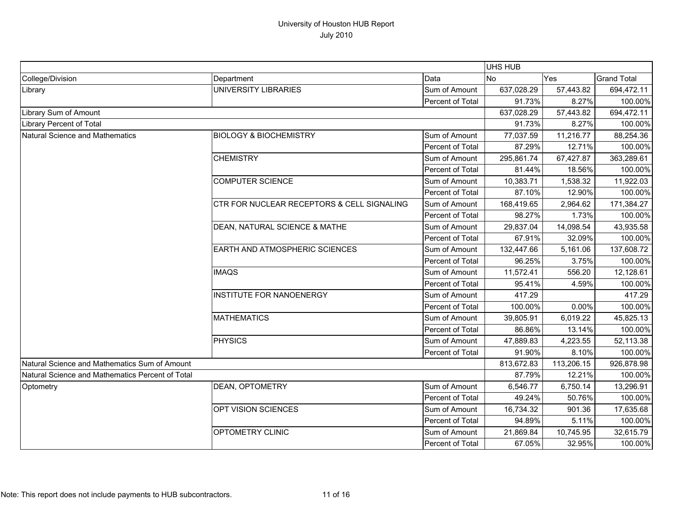|                                                  |                                            |                  | <b>UHS HUB</b> |            |                    |
|--------------------------------------------------|--------------------------------------------|------------------|----------------|------------|--------------------|
| College/Division                                 | Department                                 | Data             | No             | Yes        | <b>Grand Total</b> |
| Library                                          | <b>UNIVERSITY LIBRARIES</b>                | Sum of Amount    | 637,028.29     | 57,443.82  | 694,472.11         |
|                                                  |                                            | Percent of Total | 91.73%         | 8.27%      | 100.00%            |
| Library Sum of Amount                            |                                            |                  | 637,028.29     | 57,443.82  | 694,472.11         |
| Library Percent of Total                         |                                            |                  | 91.73%         | 8.27%      | 100.00%            |
| Natural Science and Mathematics                  | <b>BIOLOGY &amp; BIOCHEMISTRY</b>          | Sum of Amount    | 77,037.59      | 11,216.77  | 88,254.36          |
|                                                  |                                            | Percent of Total | 87.29%         | 12.71%     | 100.00%            |
|                                                  | <b>CHEMISTRY</b>                           | Sum of Amount    | 295,861.74     | 67,427.87  | 363,289.61         |
|                                                  |                                            | Percent of Total | 81.44%         | 18.56%     | 100.00%            |
|                                                  | <b>COMPUTER SCIENCE</b>                    | Sum of Amount    | 10,383.71      | 1,538.32   | 11,922.03          |
|                                                  |                                            | Percent of Total | 87.10%         | 12.90%     | 100.00%            |
|                                                  | CTR FOR NUCLEAR RECEPTORS & CELL SIGNALING | Sum of Amount    | 168,419.65     | 2,964.62   | 171,384.27         |
|                                                  |                                            | Percent of Total | 98.27%         | 1.73%      | 100.00%            |
|                                                  | DEAN, NATURAL SCIENCE & MATHE              | Sum of Amount    | 29,837.04      | 14,098.54  | 43,935.58          |
|                                                  |                                            | Percent of Total | 67.91%         | 32.09%     | 100.00%            |
|                                                  | <b>EARTH AND ATMOSPHERIC SCIENCES</b>      | Sum of Amount    | 132,447.66     | 5,161.06   | 137,608.72         |
|                                                  |                                            | Percent of Total | 96.25%         | 3.75%      | 100.00%            |
|                                                  | <b>IMAQS</b>                               | Sum of Amount    | 11,572.41      | 556.20     | 12,128.61          |
|                                                  |                                            | Percent of Total | 95.41%         | 4.59%      | 100.00%            |
|                                                  | <b>INSTITUTE FOR NANOENERGY</b>            | Sum of Amount    | 417.29         |            | 417.29             |
|                                                  |                                            | Percent of Total | 100.00%        | 0.00%      | 100.00%            |
|                                                  | <b>MATHEMATICS</b>                         | Sum of Amount    | 39,805.91      | 6,019.22   | 45,825.13          |
|                                                  |                                            | Percent of Total | 86.86%         | 13.14%     | 100.00%            |
|                                                  | <b>PHYSICS</b>                             | Sum of Amount    | 47,889.83      | 4,223.55   | 52,113.38          |
|                                                  |                                            | Percent of Total | 91.90%         | 8.10%      | 100.00%            |
| Natural Science and Mathematics Sum of Amount    |                                            |                  | 813,672.83     | 113,206.15 | 926,878.98         |
| Natural Science and Mathematics Percent of Total |                                            |                  | 87.79%         | 12.21%     | 100.00%            |
| Optometry                                        | DEAN, OPTOMETRY                            | Sum of Amount    | 6,546.77       | 6,750.14   | 13,296.91          |
|                                                  |                                            | Percent of Total | 49.24%         | 50.76%     | 100.00%            |
|                                                  | OPT VISION SCIENCES                        | Sum of Amount    | 16,734.32      | 901.36     | 17,635.68          |
|                                                  |                                            | Percent of Total | 94.89%         | 5.11%      | 100.00%            |
|                                                  | OPTOMETRY CLINIC                           | Sum of Amount    | 21,869.84      | 10,745.95  | 32,615.79          |
|                                                  |                                            | Percent of Total | 67.05%         | 32.95%     | 100.00%            |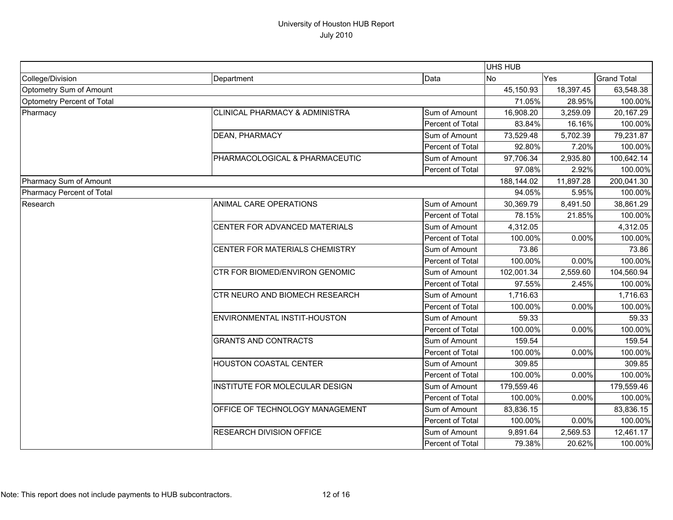|                            |                                           |                  | UHS HUB    |           |                    |
|----------------------------|-------------------------------------------|------------------|------------|-----------|--------------------|
| College/Division           | Department                                | Data             | <b>No</b>  | Yes       | <b>Grand Total</b> |
| Optometry Sum of Amount    |                                           |                  | 45,150.93  | 18,397.45 | 63,548.38          |
| Optometry Percent of Total |                                           | 71.05%           | 28.95%     | 100.00%   |                    |
| Pharmacy                   | <b>CLINICAL PHARMACY &amp; ADMINISTRA</b> | Sum of Amount    | 16,908.20  | 3,259.09  | 20,167.29          |
|                            |                                           | Percent of Total | 83.84%     | 16.16%    | 100.00%            |
|                            | DEAN, PHARMACY                            | Sum of Amount    | 73,529.48  | 5,702.39  | 79,231.87          |
|                            |                                           | Percent of Total | 92.80%     | 7.20%     | 100.00%            |
|                            | PHARMACOLOGICAL & PHARMACEUTIC            | Sum of Amount    | 97,706.34  | 2,935.80  | 100,642.14         |
|                            |                                           | Percent of Total | 97.08%     | 2.92%     | 100.00%            |
| Pharmacy Sum of Amount     |                                           |                  | 188,144.02 | 11,897.28 | 200,041.30         |
| Pharmacy Percent of Total  |                                           |                  | 94.05%     | 5.95%     | 100.00%            |
| Research                   | ANIMAL CARE OPERATIONS                    | Sum of Amount    | 30,369.79  | 8,491.50  | 38,861.29          |
|                            |                                           | Percent of Total | 78.15%     | 21.85%    | 100.00%            |
|                            | CENTER FOR ADVANCED MATERIALS             | Sum of Amount    | 4,312.05   |           | 4,312.05           |
|                            |                                           | Percent of Total | 100.00%    | 0.00%     | 100.00%            |
|                            | CENTER FOR MATERIALS CHEMISTRY            | Sum of Amount    | 73.86      |           | 73.86              |
|                            |                                           | Percent of Total | 100.00%    | 0.00%     | 100.00%            |
|                            | CTR FOR BIOMED/ENVIRON GENOMIC            | Sum of Amount    | 102,001.34 | 2,559.60  | 104,560.94         |
|                            |                                           | Percent of Total | 97.55%     | 2.45%     | 100.00%            |
|                            | CTR NEURO AND BIOMECH RESEARCH            | Sum of Amount    | 1,716.63   |           | 1,716.63           |
|                            |                                           | Percent of Total | 100.00%    | 0.00%     | 100.00%            |
|                            | ENVIRONMENTAL INSTIT-HOUSTON              | Sum of Amount    | 59.33      |           | 59.33              |
|                            |                                           | Percent of Total | 100.00%    | 0.00%     | 100.00%            |
|                            | <b>GRANTS AND CONTRACTS</b>               | Sum of Amount    | 159.54     |           | 159.54             |
|                            |                                           | Percent of Total | 100.00%    | 0.00%     | 100.00%            |
|                            | <b>HOUSTON COASTAL CENTER</b>             | Sum of Amount    | 309.85     |           | 309.85             |
|                            |                                           | Percent of Total | 100.00%    | 0.00%     | 100.00%            |
|                            | INSTITUTE FOR MOLECULAR DESIGN            | Sum of Amount    | 179,559.46 |           | 179,559.46         |
|                            |                                           | Percent of Total | 100.00%    | 0.00%     | 100.00%            |
|                            | OFFICE OF TECHNOLOGY MANAGEMENT           | Sum of Amount    | 83,836.15  |           | 83,836.15          |
|                            |                                           | Percent of Total | 100.00%    | 0.00%     | 100.00%            |
|                            | RESEARCH DIVISION OFFICE                  | Sum of Amount    | 9,891.64   | 2,569.53  | 12,461.17          |
|                            |                                           | Percent of Total | 79.38%     | 20.62%    | 100.00%            |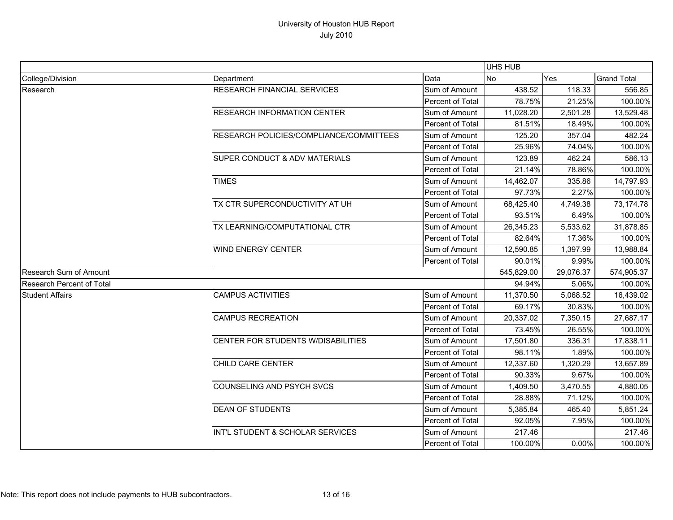|                                  |                                         |                  | UHS HUB    |           |                    |
|----------------------------------|-----------------------------------------|------------------|------------|-----------|--------------------|
| College/Division                 | Department                              | Data             | <b>No</b>  | Yes       | <b>Grand Total</b> |
| Research                         | <b>RESEARCH FINANCIAL SERVICES</b>      | Sum of Amount    | 438.52     | 118.33    | 556.85             |
|                                  |                                         | Percent of Total | 78.75%     | 21.25%    | 100.00%            |
|                                  | <b>RESEARCH INFORMATION CENTER</b>      | Sum of Amount    | 11,028.20  | 2,501.28  | 13,529.48          |
|                                  |                                         | Percent of Total | 81.51%     | 18.49%    | 100.00%            |
|                                  | RESEARCH POLICIES/COMPLIANCE/COMMITTEES | Sum of Amount    | 125.20     | 357.04    | 482.24             |
|                                  |                                         | Percent of Total | 25.96%     | 74.04%    | 100.00%            |
|                                  | SUPER CONDUCT & ADV MATERIALS           | Sum of Amount    | 123.89     | 462.24    | 586.13             |
|                                  |                                         | Percent of Total | 21.14%     | 78.86%    | 100.00%            |
|                                  | <b>TIMES</b>                            | Sum of Amount    | 14,462.07  | 335.86    | 14,797.93          |
|                                  |                                         | Percent of Total | 97.73%     | 2.27%     | 100.00%            |
|                                  | TX CTR SUPERCONDUCTIVITY AT UH          | Sum of Amount    | 68,425.40  | 4,749.38  | 73,174.78          |
|                                  |                                         | Percent of Total | 93.51%     | 6.49%     | 100.00%            |
|                                  | TX LEARNING/COMPUTATIONAL CTR           | Sum of Amount    | 26,345.23  | 5,533.62  | 31,878.85          |
|                                  |                                         | Percent of Total | 82.64%     | 17.36%    | 100.00%            |
|                                  | <b>WIND ENERGY CENTER</b>               | Sum of Amount    | 12,590.85  | 1,397.99  | 13,988.84          |
|                                  |                                         | Percent of Total | 90.01%     | 9.99%     | 100.00%            |
| Research Sum of Amount           |                                         |                  | 545,829.00 | 29,076.37 | 574,905.37         |
| <b>Research Percent of Total</b> |                                         |                  | 94.94%     | 5.06%     | 100.00%            |
| <b>Student Affairs</b>           | <b>CAMPUS ACTIVITIES</b>                | Sum of Amount    | 11,370.50  | 5,068.52  | 16,439.02          |
|                                  |                                         | Percent of Total | 69.17%     | 30.83%    | 100.00%            |
|                                  | <b>CAMPUS RECREATION</b>                | Sum of Amount    | 20,337.02  | 7,350.15  | 27,687.17          |
|                                  |                                         | Percent of Total | 73.45%     | 26.55%    | 100.00%            |
|                                  | CENTER FOR STUDENTS W/DISABILITIES      | Sum of Amount    | 17,501.80  | 336.31    | 17,838.11          |
|                                  |                                         | Percent of Total | 98.11%     | 1.89%     | 100.00%            |
|                                  | CHILD CARE CENTER                       | Sum of Amount    | 12,337.60  | 1,320.29  | 13,657.89          |
|                                  |                                         | Percent of Total | 90.33%     | 9.67%     | 100.00%            |
|                                  | <b>COUNSELING AND PSYCH SVCS</b>        | Sum of Amount    | 1,409.50   | 3,470.55  | 4,880.05           |
|                                  |                                         | Percent of Total | 28.88%     | 71.12%    | 100.00%            |
|                                  | <b>DEAN OF STUDENTS</b>                 | Sum of Amount    | 5,385.84   | 465.40    | 5,851.24           |
|                                  |                                         | Percent of Total | 92.05%     | 7.95%     | 100.00%            |
|                                  | INT'L STUDENT & SCHOLAR SERVICES        | Sum of Amount    | 217.46     |           | 217.46             |
|                                  |                                         | Percent of Total | 100.00%    | 0.00%     | 100.00%            |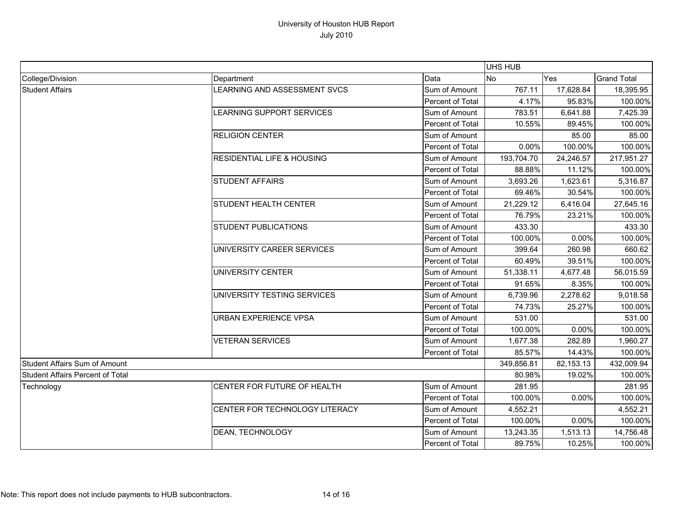|                                         |                                       |                         | UHS HUB    |           |                    |
|-----------------------------------------|---------------------------------------|-------------------------|------------|-----------|--------------------|
| College/Division                        | Department                            | Data                    | No         | Yes       | <b>Grand Total</b> |
| <b>Student Affairs</b>                  | LEARNING AND ASSESSMENT SVCS          | Sum of Amount           | 767.11     | 17,628.84 | 18,395.95          |
|                                         |                                       | Percent of Total        | 4.17%      | 95.83%    | 100.00%            |
|                                         | <b>LEARNING SUPPORT SERVICES</b>      | Sum of Amount           | 783.51     | 6,641.88  | 7,425.39           |
|                                         |                                       | Percent of Total        | 10.55%     | 89.45%    | 100.00%            |
|                                         | <b>RELIGION CENTER</b>                | Sum of Amount           |            | 85.00     | 85.00              |
|                                         |                                       | Percent of Total        | 0.00%      | 100.00%   | 100.00%            |
|                                         | <b>RESIDENTIAL LIFE &amp; HOUSING</b> | Sum of Amount           | 193,704.70 | 24,246.57 | 217,951.27         |
|                                         |                                       | Percent of Total        | 88.88%     | 11.12%    | 100.00%            |
|                                         | <b>STUDENT AFFAIRS</b>                | Sum of Amount           | 3,693.26   | 1,623.61  | 5,316.87           |
|                                         |                                       | Percent of Total        | 69.46%     | 30.54%    | 100.00%            |
|                                         | STUDENT HEALTH CENTER                 | Sum of Amount           | 21,229.12  | 6,416.04  | 27,645.16          |
|                                         |                                       | Percent of Total        | 76.79%     | 23.21%    | 100.00%            |
|                                         | <b>STUDENT PUBLICATIONS</b>           | Sum of Amount           | 433.30     |           | 433.30             |
|                                         |                                       | Percent of Total        | 100.00%    | 0.00%     | 100.00%            |
|                                         | UNIVERSITY CAREER SERVICES            | Sum of Amount           | 399.64     | 260.98    | 660.62             |
|                                         |                                       | Percent of Total        | 60.49%     | 39.51%    | 100.00%            |
|                                         | UNIVERSITY CENTER                     | Sum of Amount           | 51,338.11  | 4,677.48  | 56,015.59          |
|                                         |                                       | Percent of Total        | 91.65%     | 8.35%     | 100.00%            |
|                                         | UNIVERSITY TESTING SERVICES           | Sum of Amount           | 6,739.96   | 2,278.62  | 9,018.58           |
|                                         |                                       | Percent of Total        | 74.73%     | 25.27%    | 100.00%            |
|                                         | <b>URBAN EXPERIENCE VPSA</b>          | Sum of Amount           | 531.00     |           | 531.00             |
|                                         |                                       | Percent of Total        | 100.00%    | 0.00%     | 100.00%            |
|                                         | <b>VETERAN SERVICES</b>               | Sum of Amount           | 1,677.38   | 282.89    | 1,960.27           |
|                                         |                                       | Percent of Total        | 85.57%     | 14.43%    | 100.00%            |
| <b>Student Affairs Sum of Amount</b>    |                                       |                         | 349,856.81 | 82,153.13 | 432,009.94         |
| <b>Student Affairs Percent of Total</b> |                                       | 80.98%                  | 19.02%     | 100.00%   |                    |
| Technology                              | CENTER FOR FUTURE OF HEALTH           | Sum of Amount           | 281.95     |           | 281.95             |
|                                         |                                       | Percent of Total        | 100.00%    | 0.00%     | 100.00%            |
|                                         | CENTER FOR TECHNOLOGY LITERACY        | Sum of Amount           | 4,552.21   |           | 4,552.21           |
|                                         |                                       | Percent of Total        | 100.00%    | 0.00%     | 100.00%            |
|                                         | DEAN, TECHNOLOGY                      | Sum of Amount           | 13,243.35  | 1,513.13  | 14,756.48          |
|                                         |                                       | <b>Percent of Total</b> | 89.75%     | 10.25%    | 100.00%            |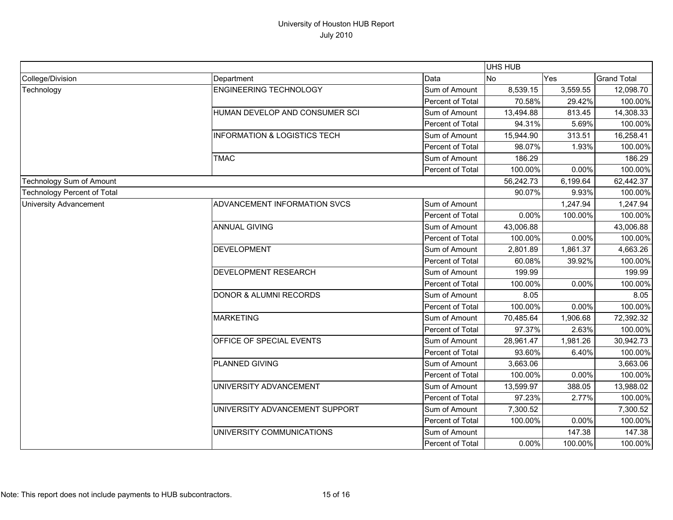|                                    |                                         |                  | UHS HUB   |          |                    |
|------------------------------------|-----------------------------------------|------------------|-----------|----------|--------------------|
| College/Division                   | Department                              | Data             | <b>No</b> | Yes      | <b>Grand Total</b> |
| Technology                         | <b>ENGINEERING TECHNOLOGY</b>           | Sum of Amount    | 8,539.15  | 3,559.55 | 12,098.70          |
|                                    |                                         | Percent of Total | 70.58%    | 29.42%   | 100.00%            |
|                                    | HUMAN DEVELOP AND CONSUMER SCI          | Sum of Amount    | 13,494.88 | 813.45   | 14,308.33          |
|                                    |                                         | Percent of Total | 94.31%    | 5.69%    | 100.00%            |
|                                    | <b>INFORMATION &amp; LOGISTICS TECH</b> | Sum of Amount    | 15,944.90 | 313.51   | 16,258.41          |
|                                    |                                         | Percent of Total | 98.07%    | 1.93%    | 100.00%            |
|                                    | <b>TMAC</b>                             | Sum of Amount    | 186.29    |          | 186.29             |
|                                    |                                         | Percent of Total | 100.00%   | 0.00%    | 100.00%            |
| Technology Sum of Amount           |                                         |                  | 56,242.73 | 6,199.64 | 62,442.37          |
| <b>Technology Percent of Total</b> |                                         |                  | 90.07%    | 9.93%    | 100.00%            |
| <b>University Advancement</b>      | ADVANCEMENT INFORMATION SVCS            | Sum of Amount    |           | 1,247.94 | 1,247.94           |
|                                    |                                         | Percent of Total | 0.00%     | 100.00%  | 100.00%            |
|                                    | <b>ANNUAL GIVING</b>                    | Sum of Amount    | 43,006.88 |          | 43,006.88          |
|                                    |                                         | Percent of Total | 100.00%   | 0.00%    | 100.00%            |
|                                    | <b>DEVELOPMENT</b>                      | Sum of Amount    | 2,801.89  | 1,861.37 | 4,663.26           |
|                                    |                                         | Percent of Total | 60.08%    | 39.92%   | 100.00%            |
|                                    | <b>DEVELOPMENT RESEARCH</b>             | Sum of Amount    | 199.99    |          | 199.99             |
|                                    |                                         | Percent of Total | 100.00%   | 0.00%    | 100.00%            |
|                                    | <b>DONOR &amp; ALUMNI RECORDS</b>       | Sum of Amount    | 8.05      |          | 8.05               |
|                                    |                                         | Percent of Total | 100.00%   | 0.00%    | 100.00%            |
|                                    | <b>MARKETING</b>                        | Sum of Amount    | 70,485.64 | 1,906.68 | 72,392.32          |
|                                    |                                         | Percent of Total | 97.37%    | 2.63%    | 100.00%            |
|                                    | OFFICE OF SPECIAL EVENTS                | Sum of Amount    | 28,961.47 | 1,981.26 | 30,942.73          |
|                                    |                                         | Percent of Total | 93.60%    | 6.40%    | 100.00%            |
|                                    | PLANNED GIVING                          | Sum of Amount    | 3,663.06  |          | 3,663.06           |
|                                    |                                         | Percent of Total | 100.00%   | 0.00%    | 100.00%            |
|                                    | UNIVERSITY ADVANCEMENT                  | Sum of Amount    | 13,599.97 | 388.05   | 13,988.02          |
|                                    |                                         | Percent of Total | 97.23%    | 2.77%    | 100.00%            |
|                                    | UNIVERSITY ADVANCEMENT SUPPORT          | Sum of Amount    | 7,300.52  |          | 7,300.52           |
|                                    |                                         | Percent of Total | 100.00%   | 0.00%    | 100.00%            |
|                                    | UNIVERSITY COMMUNICATIONS               | Sum of Amount    |           | 147.38   | 147.38             |
|                                    |                                         | Percent of Total | 0.00%     | 100.00%  | 100.00%            |